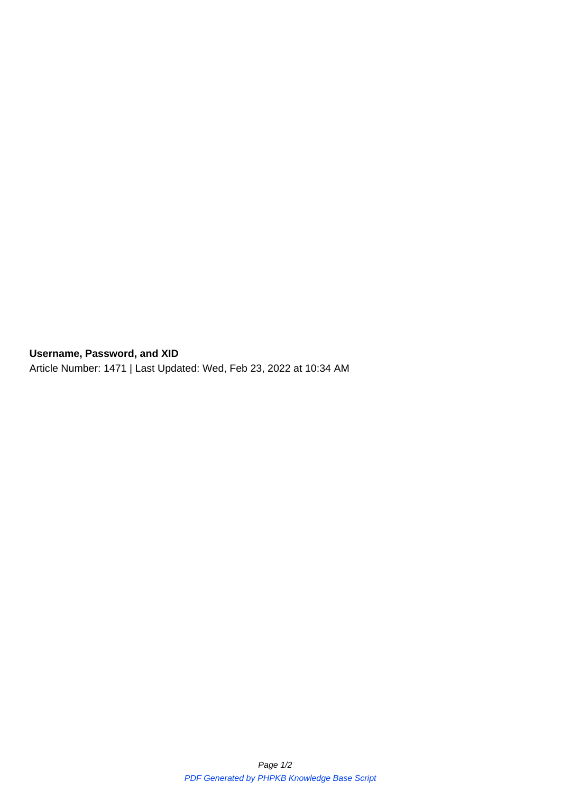**Username, Password, and XID** Article Number: 1471 | Last Updated: Wed, Feb 23, 2022 at 10:34 AM